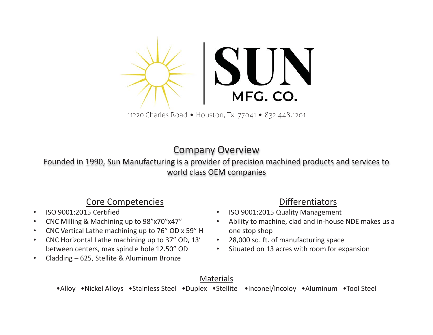

11220 Charles Road • Houston, Tx 77041 • 832.448.1201

#### Company Overview

Founded in 1990, Sun Manufacturing is a provider of precision machined products and services to world class OEM companies

#### Core Competencies

- •ISO 9001:2015 Certified
- •CNC Milling & Machining up to 98"x70"x47"
- •CNC Vertical Lathe machining up to 76" OD x 59" H
- $\bullet$  CNC Horizontal Lathe machining up to 37" OD, 13' between centers, max spindle hole 12.50" OD
- •Cladding – 625, Stellite & Aluminum Bronze

#### Differentiators

- •ISO 9001:2015 Quality Management
- • Ability to machine, clad and in-house NDE makes us a one stop shop
- •28,000 sq. ft. of manufacturing space
- •Situated on 13 acres with room for expansion

#### Materials

•Alloy •Nickel Alloys •Stainless Steel •Duplex •Stellite •Inconel/Incoloy •Aluminum •Tool Steel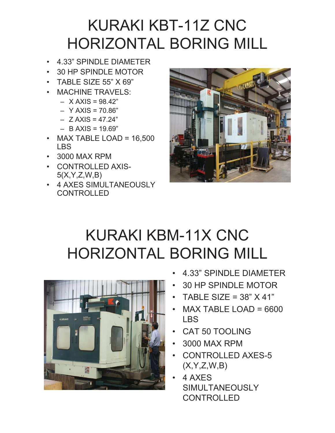## KURAKI KBT-11Z CNC HORIZONTAL BORING MILL

- 4.33" SPINDLE DIAMETER
- 30 HP SPINDLE MOTOR
- TABLE SIZE 55" X 69"
- • MACHINE TRAVELS:
	- X AXIS = 98.42"
	- Y AXIS = 70.86"
	- Z AXIS = 47.24"
	- B AXIS = 19.69"
- MAX TABLE LOAD = 16,500 LBS
- 3000 MAX RPM
- CONTROLLED AXIS-5(X,Y,Z,W,B)
- 4 AXES SIMULTANEOUSLY CONTROLLED



## KURAKI KBM-11X CNC HORIZONTAL BORING MILL



- •4.33" SPINDLE DIAMETER
- •30 HP SPINDLE MOTOR
- •TABLE SIZE =  $38"$  X 41"
- • MAX TABLE LOAD = 6600 LBS
- •CAT 50 TOOLING
- 3000 MAX RPM
- • CONTROLLED AXES-5  $(X, Y, Z, W, B)$
- • 4 AXES SIMULTANEOUSLY CONTROLLED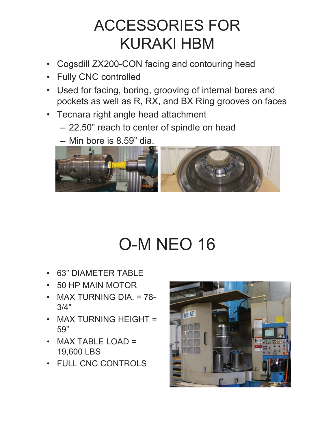## ACCESSORIES FOR KURAKI HBM

- $\bullet$ Cogsdill ZX200-CON facing and contouring head
- Fully CNC controlled
- Used for facing, boring, grooving of internal bores and pockets as well as R, RX, and BX Ring grooves on faces
- Tecnara right angle head attachment
	- 22.50" reach to center of spindle on head
	- Min bore is 8.59" dia.



# O-M NEO 16

- •63" DIAMETER TABLE
- •50 HP MAIN MOTOR
- MAX TURNING DIA. = 78- 3/4"
- MAX TURNING HEIGHT = 59"
- MAX TABLE LOAD = 19,600 LBS
- FULL CNC CONTROLS

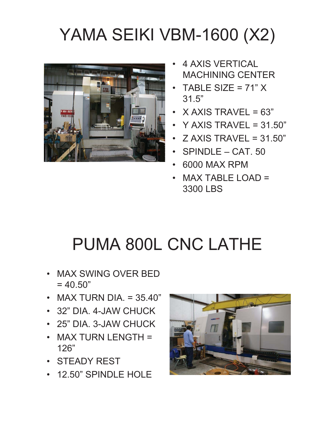# YAMA SEIKI VBM-1600 (X2)



- • 4 AXIS VERTICAL MACHINING CENTER
- •TABLE SIZE =  $71" X$ 31.5"
- • $X$  AXIS TRAVEL = 63"
- Y AXIS TRAVEL = 31.50"
- Z AXIS TRAVEL = 31.50"
- SPINDLE CAT. 50
- •6000 MAX RPM
- • MAX TABLE LOAD = 3300 LBS

# PUMA 800L CNC LATHE

- MAX SWING OVER BED  $= 40.50"$
- MAX TURN DIA. = 35.40"
- 32" DIA. 4-JAW CHUCK
- 25" DIA. 3-JAW CHUCK
- MAX TURN LENGTH = 126"
- STEADY REST
- 12.50" SPINDLE HOLE

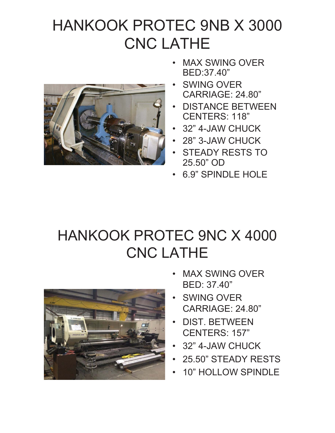### HANKOOK PROTEC 9NB X 3000 CNC LATHE



- • MAX SWING OVER BED:37.40"
- • SWING OVER CARRIAGE: 24.80"
- • DISTANCE BETWEEN CENTERS: 118"
- •32" 4-JAW CHUCK
- •28" 3-JAW CHUCK
- • STEADY RESTS TO 25.50" OD
- •6.9" SPINDLE HOLE

### HANKOOK PROTEC 9NC X 4000 CNC LATHE



- • MAX SWING OVER BED: 37.40"
- • SWING OVER CARRIAGE: 24.80"
- • DIST. BETWEEN CENTERS: 157"
- •32" 4-JAW CHUCK
- •25.50" STEADY RESTS
- •10" HOLLOW SPINDLE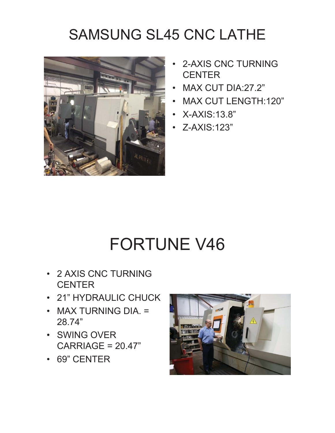## SAMSUNG SL45 CNC LATHE



- • 2-AXIS CNC TURNING **CENTER**
- •MAX CUT DIA:27.2"
- •MAX CUT LENGTH:120"
- X-AXIS:13.8"
- Z-AXIS:123"

## FORTUNE V46

- 2 AXIS CNC TURNING **CENTER**
- 21" HYDRAULIC CHUCK
- MAX TURNING DIA. = 28.74"
- SWING OVER  $CARRIAGE = 20.47"$
- 69" CENTER

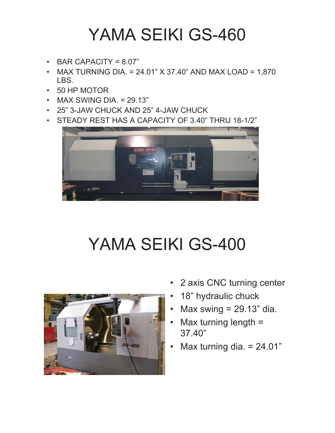## YAMA SEIKI GS-460

- •BAR CAPACITY =  $8.07$ "
- • MAX TURNING DIA. = 24.01" X 37.40" AND MAX LOAD = 1,870 LBS.
- •50 HP MOTOR
- MAX SWING DIA. = 29.13"
- 25" 3-JAW CHUCK AND 25" 4-JAW CHUCK
- STEADY REST HAS A CAPACITY OF 3.40" THRU 18-1/2"



# YAMA SEIKI GS-400



- •2 axis CNC turning center
- •18" hydraulic chuck
- •Max swing  $= 29.13$ " dia.
- • Max turning length = 37.40"
- •Max turning dia.  $= 24.01"$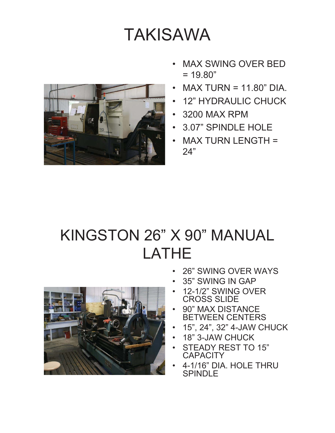## TAKISAWA



- • MAX SWING OVER BED  $= 19.80"$
- • $MAX$  TURN = 11.80" DIA.
- •12" HYDRAULIC CHUCK
- •3200 MAX RPM
- •3.07" SPINDLE HOLE
- • MAX TURN LENGTH = 24"

## KINGSTON 26" X 90" MANUAL LATHE

- •26" SWING OVER WAYS
- •35" SWING IN GAP
- • 12-1/2" SWING OVER CROSS SLIDE
- • 90" MAX DISTANCE BETWEEN CENTERS
- •15", 24", 32" 4-JAW CHUCK
- •18" 3-JAW CHUCK
- • STEADY REST TO 15" **CAPACITY**
- • 4-1/16" DIA. HOLE THRU SPINDLE

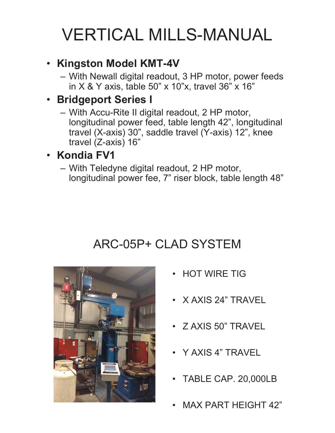## VERTICAL MILLS-MANUAL

#### • **Kingston Model KMT-4V**

– With Newall digital readout, 3 HP motor, power feeds in X & Y axis, table 50" x 10"x, travel 36" x 16"

#### • **Bridgeport Series I**

– With Accu-Rite II digital readout, 2 HP motor, longitudinal power feed, table length 42", longitudinal travel (X-axis) 30", saddle travel (Y-axis) 12", knee travel (Z-axis) 16"

#### • **Kondia FV1**

– With Teledyne digital readout, 2 HP motor, longitudinal power fee, 7" riser block, table length 48"

### ARC-05P+ CLAD SYSTEM



- HOT WIRE TIG
- X AXIS 24" TRAVEL
- Z AXIS 50" TRAVEL
- Y AXIS 4" TRAVEL
- TABLE CAP. 20,000LB
- •MAX PART HEIGHT 42"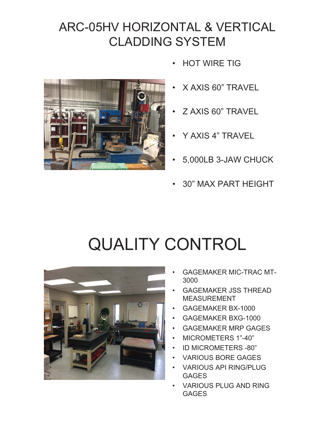### ARC-05HV HORIZONTAL & VERTICAL CLADDING SYSTEM



- •HOT WIRE TIG
- •X AXIS 60" TRAVEL
- •Z AXIS 60" TRAVEL
- •Y AXIS 4" TRAVEL
- •5,000LB 3-JAW CHUCK
- •30" MAX PART HEIGHT

## QUALITY CONTROL



- • GAGEMAKER MIC-TRAC MT-3000
- • GAGEMAKER JSS THREAD MEASUREMENT
- •GAGEMAKER BX-1000
- •GAGEMAKER BXG-1000
- •GAGEMAKER MRP GAGES
- •MICROMETERS 1"-40"
- •ID MICROMETERS -80"
- •VARIOUS BORE GAGES
- • VARIOUS API RING/PLUG GAGES
- • VARIOUS PLUG AND RING GAGES